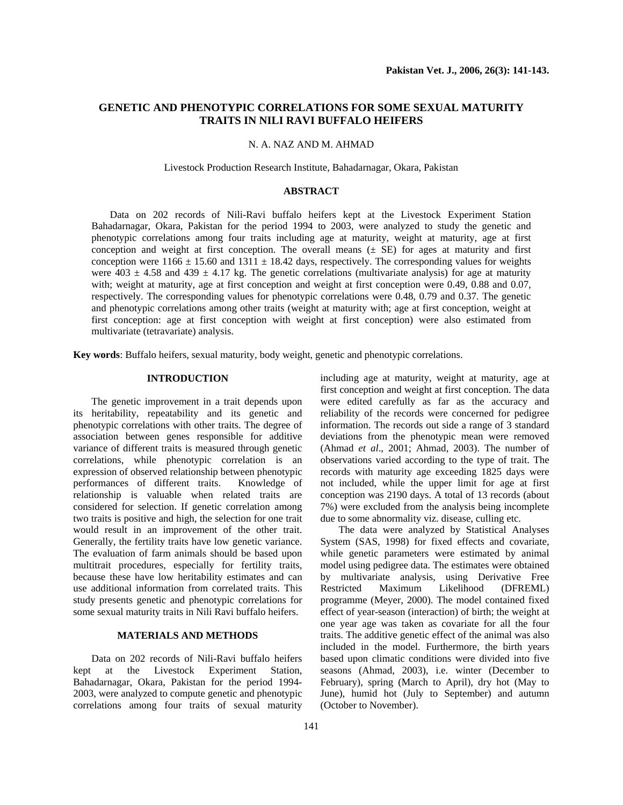# **GENETIC AND PHENOTYPIC CORRELATIONS FOR SOME SEXUAL MATURITY TRAITS IN NILI RAVI BUFFALO HEIFERS**

# N. A. NAZ AND M. AHMAD

Livestock Production Research Institute, Bahadarnagar, Okara, Pakistan

# **ABSTRACT**

Data on 202 records of Nili-Ravi buffalo heifers kept at the Livestock Experiment Station Bahadarnagar, Okara, Pakistan for the period 1994 to 2003, were analyzed to study the genetic and phenotypic correlations among four traits including age at maturity, weight at maturity, age at first conception and weight at first conception. The overall means  $(\pm S)$  for ages at maturity and first conception were 1166  $\pm$  15.60 and 1311  $\pm$  18.42 days, respectively. The corresponding values for weights were  $403 \pm 4.58$  and  $439 \pm 4.17$  kg. The genetic correlations (multivariate analysis) for age at maturity with; weight at maturity, age at first conception and weight at first conception were 0.49, 0.88 and 0.07, respectively. The corresponding values for phenotypic correlations were 0.48, 0.79 and 0.37. The genetic and phenotypic correlations among other traits (weight at maturity with; age at first conception, weight at first conception: age at first conception with weight at first conception) were also estimated from multivariate (tetravariate) analysis.

**Key words**: Buffalo heifers, sexual maturity, body weight, genetic and phenotypic correlations.

# **INTRODUCTION**

The genetic improvement in a trait depends upon its heritability, repeatability and its genetic and phenotypic correlations with other traits. The degree of association between genes responsible for additive variance of different traits is measured through genetic correlations, while phenotypic correlation is an expression of observed relationship between phenotypic performances of different traits. Knowledge of relationship is valuable when related traits are considered for selection. If genetic correlation among two traits is positive and high, the selection for one trait would result in an improvement of the other trait. Generally, the fertility traits have low genetic variance. The evaluation of farm animals should be based upon multitrait procedures, especially for fertility traits, because these have low heritability estimates and can use additional information from correlated traits. This study presents genetic and phenotypic correlations for some sexual maturity traits in Nili Ravi buffalo heifers.

# **MATERIALS AND METHODS**

Data on 202 records of Nili-Ravi buffalo heifers kept at the Livestock Experiment Station, Bahadarnagar, Okara, Pakistan for the period 1994- 2003, were analyzed to compute genetic and phenotypic correlations among four traits of sexual maturity

including age at maturity, weight at maturity, age at first conception and weight at first conception. The data were edited carefully as far as the accuracy and reliability of the records were concerned for pedigree information. The records out side a range of 3 standard deviations from the phenotypic mean were removed (Ahmad *et al*., 2001; Ahmad, 2003). The number of observations varied according to the type of trait. The records with maturity age exceeding 1825 days were not included, while the upper limit for age at first conception was 2190 days. A total of 13 records (about 7%) were excluded from the analysis being incomplete due to some abnormality viz. disease, culling etc.

The data were analyzed by Statistical Analyses System (SAS, 1998) for fixed effects and covariate, while genetic parameters were estimated by animal model using pedigree data. The estimates were obtained by multivariate analysis, using Derivative Free Restricted Maximum Likelihood (DFREML) programme (Meyer, 2000). The model contained fixed effect of year-season (interaction) of birth; the weight at one year age was taken as covariate for all the four traits. The additive genetic effect of the animal was also included in the model. Furthermore, the birth years based upon climatic conditions were divided into five seasons (Ahmad, 2003), i.e. winter (December to February), spring (March to April), dry hot (May to June), humid hot (July to September) and autumn (October to November).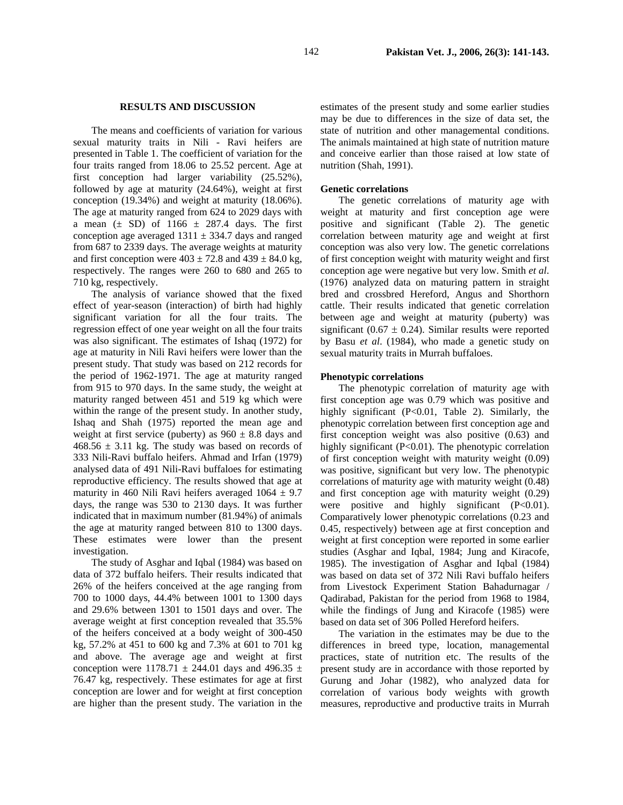#### **RESULTS AND DISCUSSION**

The means and coefficients of variation for various sexual maturity traits in Nili - Ravi heifers are presented in Table 1. The coefficient of variation for the four traits ranged from 18.06 to 25.52 percent. Age at first conception had larger variability (25.52%), followed by age at maturity (24.64%), weight at first conception (19.34%) and weight at maturity (18.06%). The age at maturity ranged from 624 to 2029 days with a mean  $(\pm$  SD) of 1166  $\pm$  287.4 days. The first conception age averaged  $1311 \pm 334.7$  days and ranged from 687 to 2339 days. The average weights at maturity and first conception were  $403 \pm 72.8$  and  $439 \pm 84.0$  kg, respectively. The ranges were 260 to 680 and 265 to 710 kg, respectively.

The analysis of variance showed that the fixed effect of year-season (interaction) of birth had highly significant variation for all the four traits. The regression effect of one year weight on all the four traits was also significant. The estimates of Ishaq (1972) for age at maturity in Nili Ravi heifers were lower than the present study. That study was based on 212 records for the period of 1962-1971. The age at maturity ranged from 915 to 970 days. In the same study, the weight at maturity ranged between 451 and 519 kg which were within the range of the present study. In another study, Ishaq and Shah (1975) reported the mean age and weight at first service (puberty) as  $960 \pm 8.8$  days and  $468.56 \pm 3.11$  kg. The study was based on records of 333 Nili-Ravi buffalo heifers. Ahmad and Irfan (1979) analysed data of 491 Nili-Ravi buffaloes for estimating reproductive efficiency. The results showed that age at maturity in 460 Nili Ravi heifers averaged  $1064 \pm 9.7$ days, the range was 530 to 2130 days. It was further indicated that in maximum number (81.94%) of animals the age at maturity ranged between 810 to 1300 days. These estimates were lower than the present investigation.

The study of Asghar and Iqbal (1984) was based on data of 372 buffalo heifers. Their results indicated that 26% of the heifers conceived at the age ranging from 700 to 1000 days, 44.4% between 1001 to 1300 days and 29.6% between 1301 to 1501 days and over. The average weight at first conception revealed that 35.5% of the heifers conceived at a body weight of 300-450 kg, 57.2% at 451 to 600 kg and 7.3% at 601 to 701 kg and above. The average age and weight at first conception were  $1178.71 \pm 244.01$  days and 496.35  $\pm$ 76.47 kg, respectively. These estimates for age at first conception are lower and for weight at first conception are higher than the present study. The variation in the

estimates of the present study and some earlier studies may be due to differences in the size of data set, the state of nutrition and other managemental conditions. The animals maintained at high state of nutrition mature and conceive earlier than those raised at low state of nutrition (Shah, 1991).

### **Genetic correlations**

The genetic correlations of maturity age with weight at maturity and first conception age were positive and significant (Table 2). The genetic correlation between maturity age and weight at first conception was also very low. The genetic correlations of first conception weight with maturity weight and first conception age were negative but very low. Smith *et al*. (1976) analyzed data on maturing pattern in straight bred and crossbred Hereford, Angus and Shorthorn cattle. Their results indicated that genetic correlation between age and weight at maturity (puberty) was significant (0.67  $\pm$  0.24). Similar results were reported by Basu *et al*. (1984), who made a genetic study on sexual maturity traits in Murrah buffaloes.

### **Phenotypic correlations**

The phenotypic correlation of maturity age with first conception age was 0.79 which was positive and highly significant (P<0.01, Table 2). Similarly, the phenotypic correlation between first conception age and first conception weight was also positive (0.63) and highly significant (P<0.01). The phenotypic correlation of first conception weight with maturity weight (0.09) was positive, significant but very low. The phenotypic correlations of maturity age with maturity weight (0.48) and first conception age with maturity weight (0.29) were positive and highly significant (P<0.01). Comparatively lower phenotypic correlations (0.23 and 0.45, respectively) between age at first conception and weight at first conception were reported in some earlier studies (Asghar and Iqbal, 1984; Jung and Kiracofe, 1985). The investigation of Asghar and Iqbal (1984) was based on data set of 372 Nili Ravi buffalo heifers from Livestock Experiment Station Bahadurnagar / Qadirabad, Pakistan for the period from 1968 to 1984, while the findings of Jung and Kiracofe (1985) were based on data set of 306 Polled Hereford heifers.

The variation in the estimates may be due to the differences in breed type, location, managemental practices, state of nutrition etc. The results of the present study are in accordance with those reported by Gurung and Johar (1982), who analyzed data for correlation of various body weights with growth measures, reproductive and productive traits in Murrah